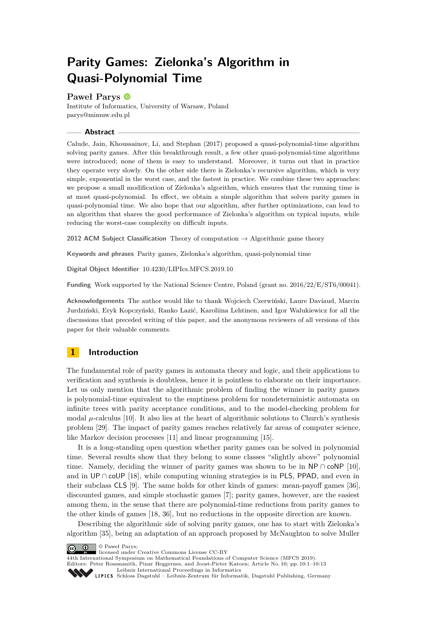# **Parity Games: Zielonka's Algorithm in Quasi-Polynomial Time**

## **Paweł Parys**

Institute of Informatics, University of Warsaw, Poland [parys@mimuw.edu.pl](mailto:parys@mimuw.edu.pl)

### **Abstract**

Calude, Jain, Khoussainov, Li, and Stephan (2017) proposed a quasi-polynomial-time algorithm solving parity games. After this breakthrough result, a few other quasi-polynomial-time algorithms were introduced; none of them is easy to understand. Moreover, it turns out that in practice they operate very slowly. On the other side there is Zielonka's recursive algorithm, which is very simple, exponential in the worst case, and the fastest in practice. We combine these two approaches: we propose a small modification of Zielonka's algorithm, which ensures that the running time is at most quasi-polynomial. In effect, we obtain a simple algorithm that solves parity games in quasi-polynomial time. We also hope that our algorithm, after further optimizations, can lead to an algorithm that shares the good performance of Zielonka's algorithm on typical inputs, while reducing the worst-case complexity on difficult inputs.

**2012 ACM Subject Classification** Theory of computation → Algorithmic game theory

**Keywords and phrases** Parity games, Zielonka's algorithm, quasi-polynomial time

**Digital Object Identifier** [10.4230/LIPIcs.MFCS.2019.10](https://doi.org/10.4230/LIPIcs.MFCS.2019.10)

**Funding** Work supported by the National Science Centre, Poland (grant no. 2016/22/E/ST6/00041).

**Acknowledgements** The author would like to thank Wojciech Czerwiński, Laure Daviaud, Marcin Jurdziński, Eryk Kopczyński, Ranko Lazić, Karoliina Lehtinen, and Igor Walukiewicz for all the discussions that preceded writing of this paper, and the anonymous reviewers of all versions of this paper for their valuable comments.

## **1 Introduction**

The fundamental role of parity games in automata theory and logic, and their applications to verification and synthesis is doubtless, hence it is pointless to elaborate on their importance. Let us only mention that the algorithmic problem of finding the winner in parity games is polynomial-time equivalent to the emptiness problem for nondeterministic automata on infinite trees with parity acceptance conditions, and to the model-checking problem for modal  $\mu$ -calculus [\[10\]](#page-10-0). It also lies at the heart of algorithmic solutions to Church's synthesis problem [\[29\]](#page-11-0). The impact of parity games reaches relatively far areas of computer science, like Markov decision processes [\[11\]](#page-10-1) and linear programming [\[15\]](#page-10-2).

It is a long-standing open question whether parity games can be solved in polynomial time. Several results show that they belong to some classes "slightly above" polynomial time. Namely, deciding the winner of parity games was shown to be in NP ∩ coNP [\[10\]](#page-10-0), and in UP ∩ coUP [\[18\]](#page-11-1), while computing winning strategies is in PLS, PPAD, and even in their subclass CLS [\[9\]](#page-10-3). The same holds for other kinds of games: mean-payoff games [\[36\]](#page-12-0), discounted games, and simple stochastic games [\[7\]](#page-10-4); parity games, however, are the easiest among them, in the sense that there are polynomial-time reductions from parity games to the other kinds of games [\[18,](#page-11-1) [36\]](#page-12-0), but no reductions in the opposite direction are known.

Describing the algorithmic side of solving parity games, one has to start with Zielonka's algorithm [\[35\]](#page-12-1), being an adaptation of an approach proposed by McNaughton to solve Muller





44th International Symposium on Mathematical Foundations of Computer Science (MFCS 2019).

Editors: Peter Rossmanith, Pinar Heggernes, and Joost-Pieter Katoen; Article No. 10; pp. 10:1–10[:13](#page-12-2)

[Leibniz International Proceedings in Informatics](https://www.dagstuhl.de/lipics/)

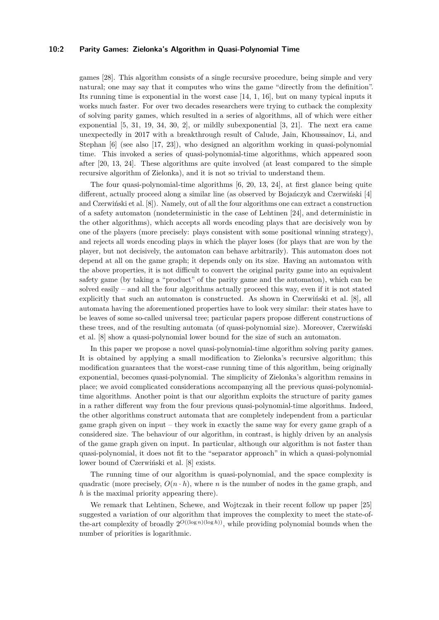### **10:2 Parity Games: Zielonka's Algorithm in Quasi-Polynomial Time**

games [\[28\]](#page-11-2). This algorithm consists of a single recursive procedure, being simple and very natural; one may say that it computes who wins the game "directly from the definition". Its running time is exponential in the worst case [\[14,](#page-10-5) [1,](#page-9-0) [16\]](#page-11-3), but on many typical inputs it works much faster. For over two decades researchers were trying to cutback the complexity of solving parity games, which resulted in a series of algorithms, all of which were either exponential [\[5,](#page-10-6) [31,](#page-11-4) [19,](#page-11-5) [34,](#page-12-3) [30,](#page-11-6) [2\]](#page-10-7), or mildly subexponential [\[3,](#page-10-8) [21\]](#page-11-7). The next era came unexpectedly in 2017 with a breakthrough result of Calude, Jain, Khoussainov, Li, and Stephan [\[6\]](#page-10-9) (see also [\[17,](#page-11-8) [23\]](#page-11-9)), who designed an algorithm working in quasi-polynomial time. This invoked a series of quasi-polynomial-time algorithms, which appeared soon after [\[20,](#page-11-10) [13,](#page-10-10) [24\]](#page-11-11). These algorithms are quite involved (at least compared to the simple recursive algorithm of Zielonka), and it is not so trivial to understand them.

The four quasi-polynomial-time algorithms [\[6,](#page-10-9) [20,](#page-11-10) [13,](#page-10-10) [24\]](#page-11-11), at first glance being quite different, actually proceed along a similar line (as observed by Bojańczyk and Czerwiński [\[4\]](#page-10-11) and Czerwiński et al. [\[8\]](#page-10-12)). Namely, out of all the four algorithms one can extract a construction of a safety automaton (nondeterministic in the case of Lehtinen [\[24\]](#page-11-11), and deterministic in the other algorithms), which accepts all words encoding plays that are decisively won by one of the players (more precisely: plays consistent with some positional winning strategy), and rejects all words encoding plays in which the player loses (for plays that are won by the player, but not decisively, the automaton can behave arbitrarily). This automaton does not depend at all on the game graph; it depends only on its size. Having an automaton with the above properties, it is not difficult to convert the original parity game into an equivalent safety game (by taking a "product" of the parity game and the automaton), which can be solved easily – and all the four algorithms actually proceed this way, even if it is not stated explicitly that such an automaton is constructed. As shown in Czerwiński et al. [\[8\]](#page-10-12), all automata having the aforementioned properties have to look very similar: their states have to be leaves of some so-called universal tree; particular papers propose different constructions of these trees, and of the resulting automata (of quasi-polynomial size). Moreover, Czerwiński et al. [\[8\]](#page-10-12) show a quasi-polynomial lower bound for the size of such an automaton.

In this paper we propose a novel quasi-polynomial-time algorithm solving parity games. It is obtained by applying a small modification to Zielonka's recursive algorithm; this modification guarantees that the worst-case running time of this algorithm, being originally exponential, becomes quasi-polynomial. The simplicity of Zielonka's algorithm remains in place; we avoid complicated considerations accompanying all the previous quasi-polynomialtime algorithms. Another point is that our algorithm exploits the structure of parity games in a rather different way from the four previous quasi-polynomial-time algorithms. Indeed, the other algorithms construct automata that are completely independent from a particular game graph given on input – they work in exactly the same way for every game graph of a considered size. The behaviour of our algorithm, in contrast, is highly driven by an analysis of the game graph given on input. In particular, although our algorithm is not faster than quasi-polynomial, it does not fit to the "separator approach" in which a quasi-polynomial lower bound of Czerwiński et al. [\[8\]](#page-10-12) exists.

The running time of our algorithm is quasi-polynomial, and the space complexity is quadratic (more precisely,  $O(n \cdot h)$ , where *n* is the number of nodes in the game graph, and *h* is the maximal priority appearing there).

We remark that Lehtinen, Schewe, and Wojtczak in their recent follow up paper [\[25\]](#page-11-12) suggested a variation of our algorithm that improves the complexity to meet the state-ofthe-art complexity of broadly  $2^{O((\log n)(\log h))}$ , while providing polynomial bounds when the number of priorities is logarithmic.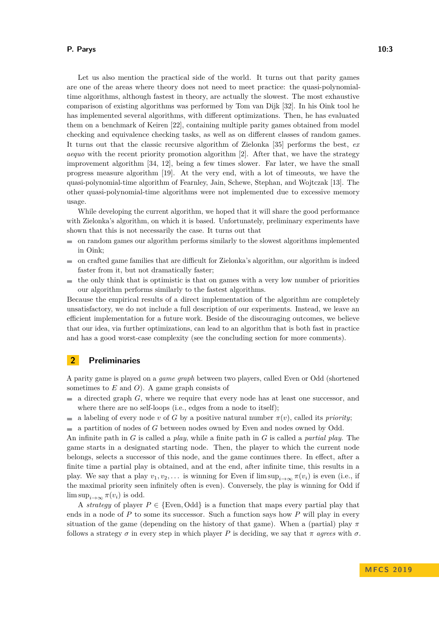#### **P. Parys 10:3**

Let us also mention the practical side of the world. It turns out that parity games are one of the areas where theory does not need to meet practice: the quasi-polynomialtime algorithms, although fastest in theory, are actually the slowest. The most exhaustive comparison of existing algorithms was performed by Tom van Dijk [\[32\]](#page-11-13). In his Oink tool he has implemented several algorithms, with different optimizations. Then, he has evaluated them on a benchmark of Keiren [\[22\]](#page-11-14), containing multiple parity games obtained from model checking and equivalence checking tasks, as well as on different classes of random games. It turns out that the classic recursive algorithm of Zielonka [\[35\]](#page-12-1) performs the best, *ex aequo* with the recent priority promotion algorithm [\[2\]](#page-10-7). After that, we have the strategy improvement algorithm [\[34,](#page-12-3) [12\]](#page-10-13), being a few times slower. Far later, we have the small progress measure algorithm [\[19\]](#page-11-5). At the very end, with a lot of timeouts, we have the quasi-polynomial-time algorithm of Fearnley, Jain, Schewe, Stephan, and Wojtczak [\[13\]](#page-10-10). The other quasi-polynomial-time algorithms were not implemented due to excessive memory usage.

While developing the current algorithm, we hoped that it will share the good performance with Zielonka's algorithm, on which it is based. Unfortunately, preliminary experiments have shown that this is not necessarily the case. It turns out that

- $\blacksquare$  on random games our algorithm performs similarly to the slowest algorithms implemented in Oink;
- on crafted game families that are difficult for Zielonka's algorithm, our algorithm is indeed  $\mathbf{r}$ faster from it, but not dramatically faster;
- the only think that is optimistic is that on games with a very low number of priorities  $\blacksquare$ our algorithm performs similarly to the fastest algorithms.

Because the empirical results of a direct implementation of the algorithm are completely unsatisfactory, we do not include a full description of our experiments. Instead, we leave an efficient implementation for a future work. Beside of the discouraging outcomes, we believe that our idea, via further optimizations, can lead to an algorithm that is both fast in practice and has a good worst-case complexity (see the concluding section for more comments).

## **2 Preliminaries**

A parity game is played on a *game graph* between two players, called Even or Odd (shortened sometimes to *E* and *O*). A game graph consists of

- a directed graph *G*, where we require that every node has at least one successor, and  $\overline{\phantom{a}}$ where there are no self-loops (i.e., edges from a node to itself);
- a labeling of every node *v* of *G* by a positive natural number  $\pi(v)$ , called its *priority*; m.
- a partition of nodes of *G* between nodes owned by Even and nodes owned by Odd.

An infinite path in *G* is called a *play*, while a finite path in *G* is called a *partial play*. The game starts in a designated starting node. Then, the player to which the current node belongs, selects a successor of this node, and the game continues there. In effect, after a finite time a partial play is obtained, and at the end, after infinite time, this results in a play. We say that a play  $v_1, v_2, \ldots$  is winning for Even if  $\limsup_{i\to\infty} \pi(v_i)$  is even (i.e., if the maximal priority seen infinitely often is even). Conversely, the play is winning for Odd if  $\limsup_{i\to\infty} \pi(v_i)$  is odd.

A *strategy* of player  $P \in \{Even, Odd\}$  is a function that maps every partial play that ends in a node of *P* to some its successor. Such a function says how *P* will play in every situation of the game (depending on the history of that game). When a (partial) play  $\pi$ follows a strategy  $\sigma$  in every step in which player P is deciding, we say that  $\pi$  *agrees* with  $\sigma$ .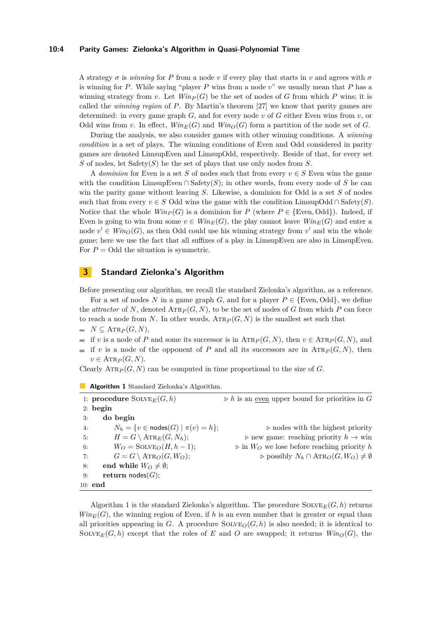#### **10:4 Parity Games: Zielonka's Algorithm in Quasi-Polynomial Time**

A strategy  $\sigma$  is *winning* for P from a node *v* if every play that starts in *v* and agrees with  $\sigma$ is winning for *P*. While saying "player *P* wins from a node *v*" we usually mean that *P* has a winning strategy from *v*. Let  $Win_P(G)$  be the set of nodes of *G* from which *P* wins; it is called the *winning region* of *P*. By Martin's theorem [\[27\]](#page-11-15) we know that parity games are determined: in every game graph  $G$ , and for every node  $v$  of  $G$  either Even wins from  $v$ , or Odd wins from *v*. In effect,  $Win_E(G)$  and  $Win_O(G)$  form a partition of the node set of *G*.

During the analysis, we also consider games with other winning conditions. A *winning condition* is a set of plays. The winning conditions of Even and Odd considered in parity games are denoted LimsupEven and LimsupOdd, respectively. Beside of that, for every set *S* of nodes, let Safety(*S*) be the set of plays that use only nodes from *S*.

A *dominion* for Even is a set *S* of nodes such that from every  $v \in S$  Even wins the game with the condition LimsupEven ∩ Safety $(S)$ ; in other words, from every node of *S* he can win the parity game without leaving *S*. Likewise, a dominion for Odd is a set *S* of nodes such that from every  $v \in S$  Odd wins the game with the condition LimsupOdd ∩ Safety(*S*). Notice that the whole  $Win_P(G)$  is a dominion for *P* (where  $P \in \{\text{Even}, \text{Odd}\}\)$ . Indeed, if Even is going to win from some  $v \in Win_E(G)$ , the play cannot leave  $Win_E(G)$  and enter a node  $v' \in Win_{O}(G)$ , as then Odd could use his winning strategy from  $v'$  and win the whole game; here we use the fact that all suffixes of a play in LimsupEven are also in LimsupEven. For  $P = \text{Odd the situation is symmetric.}$ 

## **3 Standard Zielonka's Algorithm**

Before presenting our algorithm, we recall the standard Zielonka's algorithm, as a reference.

For a set of nodes *N* in a game graph *G*, and for a player  $P \in \{Even, Odd\}$ , we define the *attractor* of N, denoted  $\text{ATR}_P(G, N)$ , to be the set of nodes of G from which P can force to reach a node from N. In other words,  $\text{ATR}_P(G, N)$  is the smallest set such that  $N \subseteq \text{ATR}_P(G, N),$  $\blacksquare$ 

- if *v* is a node of *P* and some its successor is in  $\text{ATR}_P(G, N)$ , then  $v \in \text{ATR}_P(G, N)$ , and  $\blacksquare$
- if *v* is a node of the opponent of *P* and all its successors are in  $\text{ATR}_P(G, N)$ , then  $\sim$  $v \in \text{ATR}_P(G, N)$ .

Clearly  $\text{ATR}_P(G, N)$  can be computed in time proportional to the size of *G*.

<span id="page-3-0"></span>**Algorithm 1** Standard Zielonka's Algorithm.

| 1: procedure $\text{SOLVE}_E(G, h)$                      | $\triangleright$ h is an <u>even</u> upper bound for priorities in G |
|----------------------------------------------------------|----------------------------------------------------------------------|
| $2:$ begin                                               |                                                                      |
| do begin<br>3:                                           |                                                                      |
| $N_h = \{v \in \text{nodes}(G) \mid \pi(v) = h\};$<br>4: | $\triangleright$ nodes with the highest priority                     |
| $H = G \setminus \text{ATR}_E(G, N_h);$<br>5:            | $\rhd$ new game: reaching priority $h \to \text{win}$                |
| $W_O = \text{SOLVE}_O(H, h-1);$<br>6:                    | $\triangleright$ in $W_O$ we lose before reaching priority h         |
| $G = G \setminus \text{ATR}_O(G, W_O);$<br>7:            | $\rhd$ possibly $N_h \cap \text{ATR}_O(G, W_O) \neq \emptyset$       |
| end while $W_O \neq \emptyset$ ;<br>8:                   |                                                                      |
| return nodes $(G)$ ;<br>9:                               |                                                                      |
| $10:$ end                                                |                                                                      |

Algorithm [1](#page-3-0) is the standard Zielonka's algorithm. The procedure  $\text{SOLVE}_E(G, h)$  returns  $Win_E(G)$ , the winning region of Even, if *h* is an even number that is greater or equal than all priorities appearing in *G*. A procedure  $\text{SOLVE}_O(G, h)$  is also needed; it is identical to SOLVE<sub>E</sub>(*G, h*) except that the roles of *E* and *O* are swapped; it returns  $Win_{O}(G)$ , the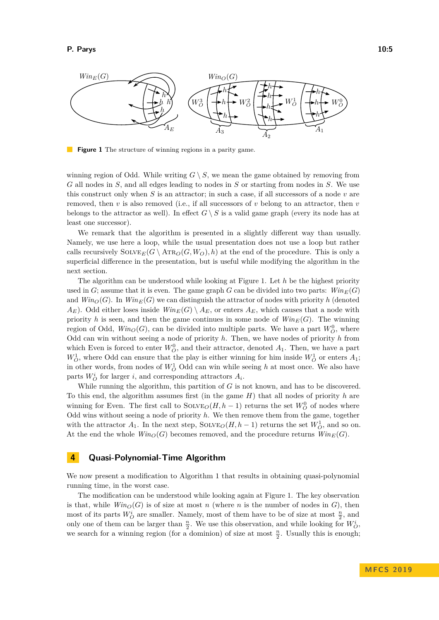<span id="page-4-0"></span>

**Figure 1** The structure of winning regions in a parity game. a a s

winning region of Odd. While writing  $G \setminus S$ , we mean the game obtained by removing from *G* all nodes in *S*, and all edges leading to nodes in *S* or starting from nodes in *S*. We use this construct only when *S* is an attractor; in such a case, if all successors of a node *v* are removed, then  $v$  is also removed (i.e., if all successors of  $v$  belong to an attractor, then  $v$ belongs to the attractor as well). In effect  $G \setminus S$  is a valid game graph (every its node has at least one successor).

We remark that the algorithm is presented in a slightly different way than usually. Namely, we use here a loop, while the usual presentation does not use a loop but rather calls recursively  $\text{SOLVE}_E(G \setminus \text{ATR}_O(G, W_O), h)$  at the end of the procedure. This is only a superficial difference in the presentation, but is useful while modifying the algorithm in the next section.

The algorithm can be understood while looking at Figure [1.](#page-4-0) Let *h* be the highest priority used in *G*; assume that it is even. The game graph *G* can be divided into two parts:  $Win_E(G)$ and  $Win_{\mathcal{O}}(G)$ . In  $Win_{E}(G)$  we can distinguish the attractor of nodes with priority *h* (denoted  $A_E$ ). Odd either loses inside  $Win_E(G) \setminus A_E$ , or enters  $A_E$ , which causes that a node with priority *h* is seen, and then the game continues in some node of  $Win_E(G)$ . The winning region of Odd,  $Win_{O}(G)$ , can be divided into multiple parts. We have a part  $W_O^0$ , where Odd can win without seeing a node of priority *h*. Then, we have nodes of priority *h* from which Even is forced to enter  $W_O^0$ , and their attractor, denoted  $A_1$ . Then, we have a part  $W_O^1$ , where Odd can ensure that the play is either winning for him inside  $W_O^1$  or enters  $A_1$ ; in other words, from nodes of  $W_O^1$  Odd can win while seeing *h* at most once. We also have parts  $W_O^i$  for larger *i*, and corresponding attractors  $A_i$ .

While running the algorithm, this partition of *G* is not known, and has to be discovered. To this end, the algorithm assumes first (in the game *H*) that all nodes of priority *h* are winning for Even. The first call to  $\text{SOLVE}_O(H, h-1)$  returns the set  $W_O^0$  of nodes where Odd wins without seeing a node of priority *h*. We then remove them from the game, together with the attractor  $A_1$ . In the next step,  $\text{SOLVE}_O(H, h-1)$  returns the set  $W_O^1$ , and so on. At the end the whole  $Win_{O}(G)$  becomes removed, and the procedure returns  $Win_{E}(G)$ .

## **4 Quasi-Polynomial-Time Algorithm**

We now present a modification to Algorithm [1](#page-3-0) that results in obtaining quasi-polynomial running time, in the worst case.

The modification can be understood while looking again at Figure [1.](#page-4-0) The key observation is that, while  $Win_{O}(G)$  is of size at most *n* (where *n* is the number of nodes in *G*), then most of its parts  $W_O^i$  are smaller. Namely, most of them have to be of size at most  $\frac{n}{2}$ , and only one of them can be larger than  $\frac{n}{2}$ . We use this observation, and while looking for  $W_O^i$ , we search for a winning region (for a dominion) of size at most  $\frac{n}{2}$ . Usually this is enough;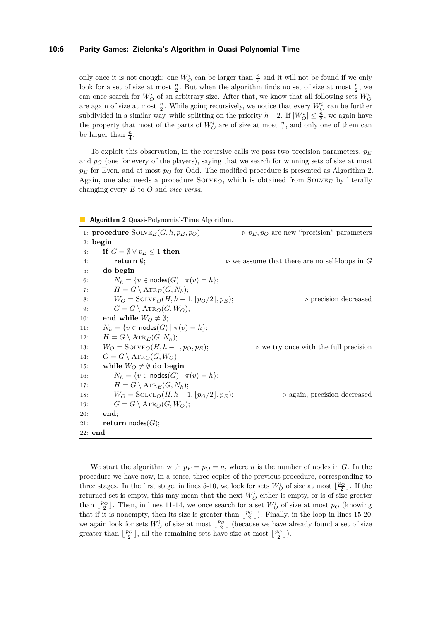### **10:6 Parity Games: Zielonka's Algorithm in Quasi-Polynomial Time**

only once it is not enough: one  $W_O^i$  can be larger than  $\frac{n}{2}$  and it will not be found if we only look for a set of size at most  $\frac{n}{2}$ . But when the algorithm finds no set of size at most  $\frac{n}{2}$ , we can once search for  $W_O^i$  of an arbitrary size. After that, we know that all following sets  $W_O^i$ are again of size at most  $\frac{n}{2}$ . While going recursively, we notice that every  $W_O^i$  can be further subdivided in a similar way, while splitting on the priority  $h-2$ . If  $|W_O^i| \leq \frac{n}{2}$ , we again have the property that most of the parts of  $W^i_O$  are of size at most  $\frac{n}{4}$ , and only one of them can be larger than  $\frac{n}{4}$ .

To exploit this observation, in the recursive calls we pass two precision parameters,  $p_E$ and  $p<sub>O</sub>$  (one for every of the players), saying that we search for winning sets of size at most *p<sup>E</sup>* for Even, and at most *p<sup>O</sup>* for Odd. The modified procedure is presented as Algorithm [2.](#page-5-0) Again, one also needs a procedure  $SOLVE<sub>O</sub>$ , which is obtained from  $SOLVE<sub>E</sub>$  by literally changing every *E* to *O* and *vice versa*.

<span id="page-5-0"></span>**Algorithm 2** Quasi-Polynomial-Time Algorithm.

```
1: procedure SOLVE<sub>E</sub>(G, h, p<sub>E</sub>, p<sub>O</sub>) \triangleright p_E, p<sub>O</sub> are new "precision" parameters
 2: begin
 3: if G = \emptyset \vee p_E \le 1 then
 4: return ∅; . we assume that there are no self-loops in G
 5: do begin
 6: N_h = \{v \in \text{nodes}(G) \mid \pi(v) = h\};7: H = G \setminus \text{ATR}_E(G, N_h);8: W_O = \text{SOLVE}_O(H, h-1, \lfloor p_O/2 \rfloor, p_E); \triangleright precision decreased
 9: G = G \setminus \text{ATR}_O(G, W_O);10: end while W_O \neq \emptyset;
11: N_h = \{v \in \text{nodes}(G) \mid \pi(v) = h\};12: H = G \setminus \text{ATR}_E(G, N_h);13: W_O = \text{SOLVE}_O(H, h-1, p_O, p_E); \triangleright we try once with the full precision
14: G = G \setminus \text{ATR}_O(G, W_O);15: while W_O \neq \emptyset do begin
16: N_h = \{v \in \text{nodes}(G) \mid \pi(v) = h\};17: H = G \setminus \text{ATR}_E(G, N_h);18: W_O = \text{SOLVE}_O(H, h-1, \lfloor p_O/2 \rfloor, p_E); \triangleright again, precision decreased
19: G = G \setminus \text{ATR}_O(G, W_O);20: end;
21: return nodes(G);
22: end
```
We start the algorithm with  $p_E = p_O = n$ , where *n* is the number of nodes in *G*. In the procedure we have now, in a sense, three copies of the previous procedure, corresponding to three stages. In the first stage, in lines 5-10, we look for sets  $W_O^i$  of size at most  $\lfloor \frac{p_O}{2} \rfloor$ . If the returned set is empty, this may mean that the next  $W_O^i$  either is empty, or is of size greater than  $\lfloor \frac{p_O}{2} \rfloor$ . Then, in lines 11-14, we once search for a set  $W_O^i$  of size at most  $p_O$  (knowing that if it is nonempty, then its size is greater than  $\lfloor \frac{p_O}{2} \rfloor$ ). Finally, in the loop in lines 15-20, we again look for sets  $W_O^i$  of size at most  $\lfloor \frac{p_O}{2} \rfloor$  (because we have already found a set of size greater than  $\lfloor \frac{p_O}{2} \rfloor$ , all the remaining sets have size at most  $\lfloor \frac{p_O}{2} \rfloor$ ).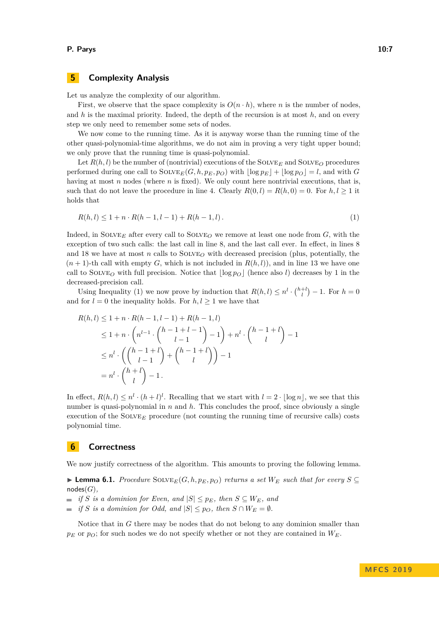#### **P. Parys 10:7**

## **5 Complexity Analysis**

Let us analyze the complexity of our algorithm.

First, we observe that the space complexity is  $O(n \cdot h)$ , where *n* is the number of nodes. and *h* is the maximal priority. Indeed, the depth of the recursion is at most *h*, and on every step we only need to remember some sets of nodes.

We now come to the running time. As it is anyway worse than the running time of the other quasi-polynomial-time algorithms, we do not aim in proving a very tight upper bound; we only prove that the running time is quasi-polynomial.

Let  $R(h, l)$  be the number of (nontrivial) executions of the SOLVE<sub>*E*</sub> and SOLVE<sub>*O*</sub> procedures performed during one call to  $\text{SOLVE}_E(G, h, p_E, p_O)$  with  $\lfloor \log p_E \rfloor + \lfloor \log p_O \rfloor = l$ , and with *G* having at most *n* nodes (where *n* is fixed). We only count here nontrivial executions, that is, such that do not leave the procedure in line 4. Clearly  $R(0, l) = R(h, 0) = 0$ . For  $h, l \geq 1$  it holds that

<span id="page-6-0"></span>
$$
R(h, l) \le 1 + n \cdot R(h - 1, l - 1) + R(h - 1, l). \tag{1}
$$

Indeed, in SOLVE<sub>E</sub> after every call to SOLVE<sub>Q</sub> we remove at least one node from  $G$ , with the exception of two such calls: the last call in line 8, and the last call ever. In effect, in lines 8 and 18 we have at most *n* calls to  $SOLVE<sub>O</sub>$  with decreased precision (plus, potentially, the  $(n+1)$ -th call with empty *G*, which is not included in  $R(h, l)$ , and in line 13 we have one call to SOLVE<sub>O</sub> with full precision. Notice that  $\log p$ <sup>*O*</sup> (hence also *l*) decreases by 1 in the decreased-precision call.

Using Inequality [\(1\)](#page-6-0) we now prove by induction that  $R(h, l) \leq n^l \cdot {h+l \choose l} - 1$ . For  $h = 0$ and for  $l = 0$  the inequality holds. For  $h, l \geq 1$  we have that

$$
R(h, l) \le 1 + n \cdot R(h - 1, l - 1) + R(h - 1, l)
$$
  
\n
$$
\le 1 + n \cdot \binom{n^{l-1} \cdot \binom{h - 1 + l - 1}{l - 1} - 1} + n^l \cdot \binom{h - 1 + l}{l} - 1
$$
  
\n
$$
\le n^l \cdot \binom{h - 1 + l}{l - 1} + \binom{h - 1 + l}{l} - 1
$$
  
\n
$$
= n^l \cdot \binom{h + l}{l} - 1.
$$

In effect,  $R(h, l) \leq n^l \cdot (h + l)^l$ . Recalling that we start with  $l = 2 \cdot \lfloor \log n \rfloor$ , we see that this number is quasi-polynomial in *n* and *h*. This concludes the proof, since obviously a single execution of the SOLVE<sub>*E*</sub> procedure (not counting the running time of recursive calls) costs polynomial time.

## **6 Correctness**

We now justify correctness of the algorithm. This amounts to proving the following lemma.

<span id="page-6-1"></span>▶ **Lemma 6.1.** *Procedure* SOLVE<sub>*E*</sub>(*G*, *h*, *p<sub>E</sub>*, *p*<sub>*O*</sub>) *returns a set*  $W_E$  *such that for every*  $S \subseteq$ nodes(*G*)*,*

 $\blacksquare$  *if S is a dominion for Even, and*  $|S| ≤ p_E$ *, then*  $S ⊆ W_E$ *, and* 

*if S is a dominion for Odd, and*  $|S| \leq p_O$ *, then*  $S \cap W_E = \emptyset$ *.*  $\mathcal{L}_{\mathcal{A}}$ 

Notice that in *G* there may be nodes that do not belong to any dominion smaller than  $p_E$  or  $p_O$ ; for such nodes we do not specify whether or not they are contained in  $W_E$ .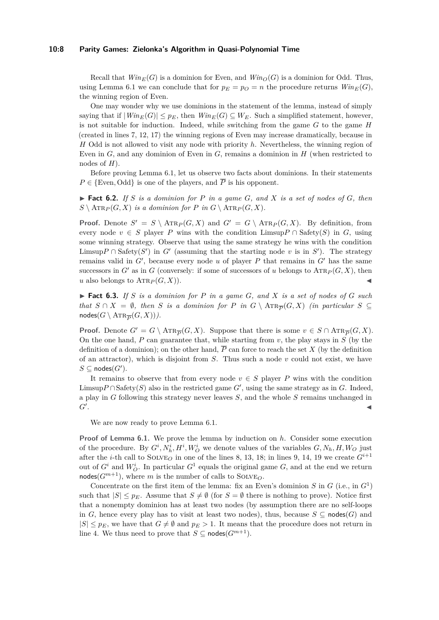#### **10:8 Parity Games: Zielonka's Algorithm in Quasi-Polynomial Time**

Recall that  $Win_E(G)$  is a dominion for Even, and  $Win_O(G)$  is a dominion for Odd. Thus, using Lemma [6.1](#page-6-1) we can conclude that for  $p_E = p_O = n$  the procedure returns  $Win_E(G)$ , the winning region of Even.

One may wonder why we use dominions in the statement of the lemma, instead of simply saying that if  $|Win_E(G)| \leq p_E$ , then  $Win_E(G) \subseteq W_E$ . Such a simplified statement, however, is not suitable for induction. Indeed, while switching from the game *G* to the game *H* (created in lines 7, 12, 17) the winning regions of Even may increase dramatically, because in *H* Odd is not allowed to visit any node with priority *h*. Nevertheless, the winning region of Even in *G*, and any dominion of Even in *G*, remains a dominion in *H* (when restricted to nodes of *H*).

Before proving Lemma [6.1,](#page-6-1) let us observe two facts about dominions. In their statements  $P \in \{Even, Odd\}$  is one of the players, and  $\overline{P}$  is his opponent.

<span id="page-7-0"></span> $\blacktriangleright$  **Fact 6.2.** *If S is a dominion for P in a game G, and X is a set of nodes of G, then*  $S \setminus \text{ATR}_P(G, X)$  *is a dominion for*  $P$  *in*  $G \setminus \text{ATR}_P(G, X)$ *.* 

**Proof.** Denote  $S' = S \setminus \text{ATR}_P(G, X)$  and  $G' = G \setminus \text{ATR}_P(G, X)$ . By definition, from every node  $v \in S$  player *P* wins with the condition Limsup  $P \cap$  Safety(*S*) in *G*, using some winning strategy. Observe that using the same strategy he wins with the condition Limsup<sup>*P*</sup> ∩ Safety(*S*<sup> $\prime$ </sup>) in *G*<sup> $\prime$ </sup> (assuming that the starting node *v* is in *S*<sup> $\prime$ </sup>). The strategy remains valid in  $G'$ , because every node  $u$  of player  $P$  that remains in  $G'$  has the same successors in *G*<sup> $\prime$ </sup> as in *G* (conversely: if some of successors of *u* belongs to ATR<sub>*P*</sub> (*G, X*), then *u* also belongs to  $\text{ATR}_P(G, X)$ .

<span id="page-7-1"></span> $\blacktriangleright$  **Fact 6.3.** *If S is a dominion for P in a game G, and X is a set of nodes of G such that*  $S \cap X = \emptyset$ , then *S is a dominion for P in*  $G \setminus \text{ATR}_{\overline{P}}(G, X)$  *(in particular*  $S \subseteq$  $\mathsf{nodes}(G \setminus \mathrm{ATR}_{\overline{P}}(G,X))).$ 

**Proof.** Denote  $G' = G \setminus \text{ATR}_{\overline{P}}(G, X)$ . Suppose that there is some  $v \in S \cap \text{ATR}_{\overline{P}}(G, X)$ . On the one hand, *P* can guarantee that, while starting from *v*, the play stays in *S* (by the definition of a dominion); on the other hand,  $\overline{P}$  can force to reach the set *X* (by the definition of an attractor), which is disjoint from *S*. Thus such a node *v* could not exist, we have  $S \subseteq \mathsf{nodes}(G')$ .

It remains to observe that from every node  $v \in S$  player *P* wins with the condition Limsup $P \cap S$ afety(*S*) also in the restricted game  $G'$ , using the same strategy as in *G*. Indeed, a play in *G* following this strategy never leaves *S*, and the whole *S* remains unchanged in  $G'$ . . Jan 1980. aastal ja kuningas kaupungi kalendari kaupungi kaupungi kaupungi kaupungi kaupungi kaupungi kalend<br>Jan 1980. aastal ja kuningas kaupungi kaupungi kaupungi kaupungi kaupungi kaupungi kaupungi kaupungi kaupungi

We are now ready to prove Lemma [6.1.](#page-6-1)

**Proof of Lemma [6.1.](#page-6-1)** We prove the lemma by induction on *h*. Consider some execution of the procedure. By  $G^i$ ,  $N_h^i$ ,  $H^i$ ,  $W_O^i$  we denote values of the variables  $G, N_h, H, W_O$  just after the *i*-th call to SOLVE<sub>O</sub> in one of the lines 8, 13, 18; in lines 9, 14, 19 we create  $G^{i+1}$ out of  $G^i$  and  $W^i_O$ . In particular  $G^1$  equals the original game  $G$ , and at the end we return nodes( $G^{m+1}$ ), where *m* is the number of calls to SOLVE<sub>O</sub>.

Concentrate on the first item of the lemma: fix an Even's dominion  $S$  in  $G$  (i.e., in  $G^1$ ) such that  $|S| \leq p_E$ . Assume that  $S \neq \emptyset$  (for  $S = \emptyset$  there is nothing to prove). Notice first that a nonempty dominion has at least two nodes (by assumption there are no self-loops in *G*, hence every play has to visit at least two nodes), thus, because  $S \subseteq \text{nodes}(G)$  and  $|S| \leq p_E$ , we have that  $G \neq \emptyset$  and  $p_E > 1$ . It means that the procedure does not return in line 4. We thus need to prove that  $S \subseteq \text{nodes}(G^{m+1})$ .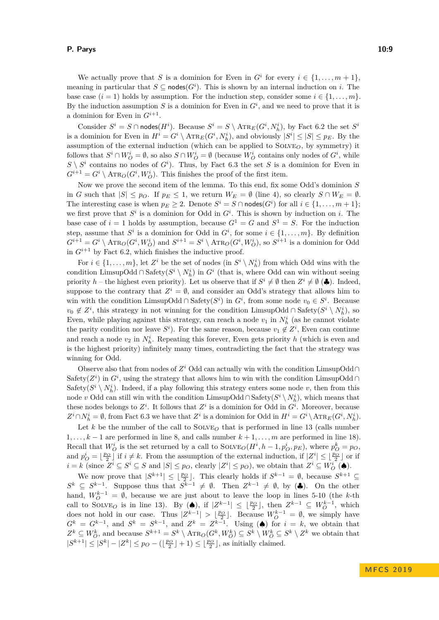#### **P. Parys 10:9**

We actually prove that *S* is a dominion for Even in  $G^i$  for every  $i \in \{1, \ldots, m+1\}$ , meaning in particular that  $S \subseteq \text{nodes}(G^i)$ . This is shown by an internal induction on *i*. The base case  $(i = 1)$  holds by assumption. For the induction step, consider some  $i \in \{1, \ldots, m\}$ . By the induction assumption  $S$  is a dominion for Even in  $G^i$ , and we need to prove that it is a dominion for Even in  $G^{i+1}$ .

Consider  $S^i = S \cap \text{nodes}(H^i)$ . Because  $S^i = S \setminus \text{ATR}_E(G^i, N_h^i)$ , by Fact [6.2](#page-7-0) the set  $S^i$ is a dominion for Even in  $H^i = G^i \setminus \text{ATR}_E(G^i, N_h^i)$ , and obviously  $|S^i| \leq |S| \leq p_E$ . By the assumption of the external induction (which can be applied to  $SOLVE_O$ , by symmetry) it follows that  $S^i \cap W_O^i = \emptyset$ , so also  $S \cap W_O^i = \emptyset$  (because  $W_O^i$  contains only nodes of  $G^i$ , while  $S \setminus S^i$  contains no nodes of  $G^i$ ). Thus, by Fact [6.3](#page-7-1) the set *S* is a dominion for Even in  $G^{i+1} = G^i \setminus \text{ATR}_O(G^i, W_O^i)$ . This finishes the proof of the first item.

Now we prove the second item of the lemma. To this end, fix some Odd's dominion *S* in *G* such that  $|S| \leq p_O$ . If  $p_E \leq 1$ , we return  $W_E = \emptyset$  (line 4), so clearly  $S \cap W_E = \emptyset$ . The interesting case is when  $p_E \geq 2$ . Denote  $S^i = S \cap \text{nodes}(G^i)$  for all  $i \in \{1, ..., m + 1\}$ ; we first prove that  $S^i$  is a dominion for Odd in  $G^i$ . This is shown by induction on *i*. The base case of  $i = 1$  holds by assumption, because  $G^1 = G$  and  $S^1 = S$ . For the induction step, assume that  $S^i$  is a dominion for Odd in  $G^i$ , for some  $i \in \{1, \ldots, m\}$ . By definition  $G^{i+1} = G^i \setminus \text{ATR}_O(G^i, W_O^i)$  and  $S^{i+1} = S^i \setminus \text{ATR}_O(G^i, W_O^i)$ , so  $S^{i+1}$  is a dominion for Odd in  $G^{i+1}$  by Fact [6.2,](#page-7-0) which finishes the inductive proof.

For  $i \in \{1, \ldots, m\}$ , let  $Z^i$  be the set of nodes (in  $S^i \setminus N_h^i$ ) from which Odd wins with the condition LimsupOdd ∩ Safety $(S^i \setminus N_h^i)$  in  $G^i$  (that is, where Odd can win without seeing priority *h* – the highest even priority). Let us observe that if  $S^i \neq \emptyset$  then  $Z^i \neq \emptyset$  ( $\clubsuit$ ). Indeed, suppose to the contrary that  $Z^i = \emptyset$ , and consider an Odd's strategy that allows him to win with the condition LimsupOdd ∩ Safety $(S<sup>i</sup>)$  in  $G<sup>i</sup>$ , from some node  $v<sub>0</sub> ∈ S<sup>i</sup>$ . Because  $v_0 \notin Z^i$ , this strategy in not winning for the condition LimsupOdd ∩ Safety $(S^i \setminus N_h^i)$ , so Even, while playing against this strategy, can reach a node  $v_1$  in  $N_h^i$  (as he cannot violate the parity condition nor leave  $S^i$ ). For the same reason, because  $v_1 \notin Z^i$ , Even can continue and reach a node  $v_2$  in  $N_h^i$ . Repeating this forever, Even gets priority *h* (which is even and is the highest priority) infinitely many times, contradicting the fact that the strategy was winning for Odd.

Observe also that from nodes of  $Z^i$  Odd can actually win with the condition LimsupOdd∩ Safety( $Z<sup>i</sup>$ ) in  $G<sup>i</sup>$ , using the strategy that allows him to win with the condition LimsupOdd ∩ Safety( $S^i \setminus N_h^i$ ). Indeed, if a play following this strategy enters some node *v*, then from this node *v* Odd can still win with the condition LimsupOdd ∩Safety $(S<sup>i</sup> \ N<sup>i</sup><sub>h</sub>)$ , which means that these nodes belongs to  $Z^i$ . It follows that  $Z^i$  is a dominion for Odd in  $G^i$ . Moreover, because  $Z^i \cap N_h^i = \emptyset$ , from Fact [6.3](#page-7-1) we have that  $Z^i$  is a dominion for Odd in  $H^i = G^i \setminus \text{ATR}_E(G^i, N_h^i)$ .

Let  $k$  be the number of the call to SOLVE<sub>Q</sub> that is performed in line 13 (calls number 1*, . . . , k* − 1 are performed in line 8, and calls number *k* + 1*, . . . , m* are performed in line 18). Recall that  $W_O^i$  is the set returned by a call to  $\text{SOLVE}_O(H^i, h-1, p_O^i, p_E)$ , where  $p_O^k = p_O$ , and  $p_O^i = \lfloor \frac{p_O}{2} \rfloor$  if  $i \neq k$ . From the assumption of the external induction, if  $|Z^i| \leq \lfloor \frac{p_O}{2} \rfloor$  or if  $i = k$  (since  $Z^i \subseteq S^i \subseteq S$  and  $|S| \leq p_O$ , clearly  $|Z^i| \leq p_O$ ), we obtain that  $Z^i \subseteq W_O^i$  ( $\spadesuit$ ).

We now prove that  $|S^{k+1}| \leq \lfloor \frac{p_O}{2} \rfloor$ . This clearly holds if  $S^{k-1} = \emptyset$ , because  $S^{k+1} \subseteq$  $S^k \subseteq S^{k-1}$ . Suppose thus that  $S^{k-1} \neq \emptyset$ . Then  $Z^{k-1} \neq \emptyset$ , by ( $\clubsuit$ ). On the other hand,  $W_O^{k-1} = \emptyset$ , because we are just about to leave the loop in lines 5-10 (the *k*-th call to SOLVE<sub>*O*</sub> is in line 13). By ( $\bullet$ ), if  $|Z^{k-1}| \leq \lfloor \frac{p_0}{2} \rfloor$ , then  $Z^{k-1} \subseteq W_O^{k-1}$ , which does not hold in our case. Thus  $|Z^{k-1}| > \lfloor \frac{p_O}{2} \rfloor$ . Because  $W_O^{k-1} = \emptyset$ , we simply have  $G^k = G^{k-1}$ , and  $S^k = S^{k-1}$ , and  $Z^k = Z^{k-1}$ . Using ( $\spadesuit$ ) for  $i = k$ , we obtain that  $Z^k \subseteq W_O^k$ , and because  $S^{k+1} = S^k \setminus \text{ATR}_O(G^k, W_O^k) \subseteq S^k \setminus W_O^k \subseteq S^k \setminus Z^k$  we obtain that  $|S^{k+1}| \leq |S^k| - |Z^k| \leq p_O - (\lfloor \frac{p_O}{2} \rfloor + 1) \leq \lfloor \frac{p_O}{2} \rfloor$ , as initially claimed.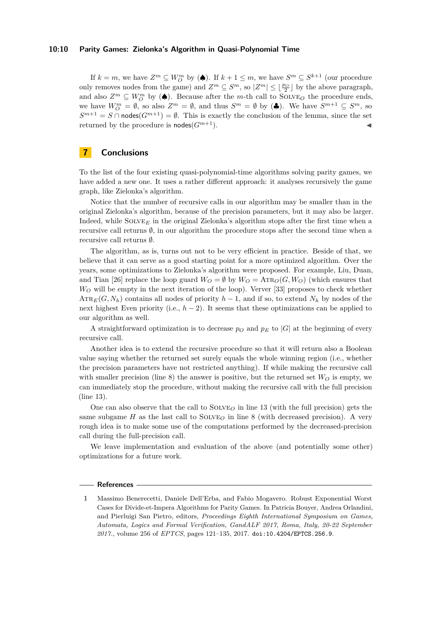#### **10:10 Parity Games: Zielonka's Algorithm in Quasi-Polynomial Time**

If  $k = m$ , we have  $Z^m \subseteq W_O^m$  by ( $\spadesuit$ ). If  $k + 1 \leq m$ , we have  $S^m \subseteq S^{k+1}$  (our procedure only removes nodes from the game) and  $Z^m \subseteq S^m$ , so  $|Z^m| \leq \lfloor \frac{p_O}{2} \rfloor$  by the above paragraph, and also  $Z^m \subseteq W_O^m$  by ( $\spadesuit$ ). Because after the *m*-th call to SOLVE<sub>O</sub> the procedure ends, we have  $W_O^m = \emptyset$ , so also  $Z^m = \emptyset$ , and thus  $S^m = \emptyset$  by  $(\clubsuit)$ . We have  $S^{m+1} \subseteq S^m$ , so  $S^{m+1} = S \cap \text{nodes}(G^{m+1}) = \emptyset$ . This is exactly the conclusion of the lemma, since the set returned by the procedure is  $\mathsf{nodes}(G^{m+1})$ .

## **7 Conclusions**

To the list of the four existing quasi-polynomial-time algorithms solving parity games, we have added a new one. It uses a rather different approach: it analyses recursively the game graph, like Zielonka's algorithm.

Notice that the number of recursive calls in our algorithm may be smaller than in the original Zielonka's algorithm, because of the precision parameters, but it may also be larger. Indeed, while  $SOLVE_E$  in the original Zielonka's algorithm stops after the first time when a recursive call returns  $\emptyset$ , in our algorithm the procedure stops after the second time when a recursive call returns ∅.

The algorithm, as is, turns out not to be very efficient in practice. Beside of that, we believe that it can serve as a good starting point for a more optimized algorithm. Over the years, some optimizations to Zielonka's algorithm were proposed. For example, Liu, Duan, and Tian [\[26\]](#page-11-16) replace the loop guard  $W_O = \emptyset$  by  $W_O = \text{ATR}_O(G, W_O)$  (which ensures that *W<sup>O</sup>* will be empty in the next iteration of the loop). Verver [\[33\]](#page-12-4) proposes to check whether  $\text{ATR}_E(G, N_h)$  contains all nodes of priority  $h-1$ , and if so, to extend  $N_h$  by nodes of the next highest Even priority (i.e., *h* − 2). It seems that these optimizations can be applied to our algorithm as well.

A straightforward optimization is to decrease  $p<sub>O</sub>$  and  $p<sub>E</sub>$  to  $|G|$  at the beginning of every recursive call.

Another idea is to extend the recursive procedure so that it will return also a Boolean value saying whether the returned set surely equals the whole winning region (i.e., whether the precision parameters have not restricted anything). If while making the recursive call with smaller precision (line 8) the answer is positive, but the returned set  $W_O$  is empty, we can immediately stop the procedure, without making the recursive call with the full precision (line 13).

One can also observe that the call to  $SOLVE_O$  in line 13 (with the full precision) gets the same subgame *H* as the last call to SOLVE<sub>Q</sub> in line 8 (with decreased precision). A very rough idea is to make some use of the computations performed by the decreased-precision call during the full-precision call.

We leave implementation and evaluation of the above (and potentially some other) optimizations for a future work.

#### **References**

<span id="page-9-0"></span>**<sup>1</sup>** Massimo Benerecetti, Daniele Dell'Erba, and Fabio Mogavero. Robust Exponential Worst Cases for Divide-et-Impera Algorithms for Parity Games. In Patricia Bouyer, Andrea Orlandini, and Pierluigi San Pietro, editors, *Proceedings Eighth International Symposium on Games, Automata, Logics and Formal Verification, GandALF 2017, Roma, Italy, 20-22 September 2017.*, volume 256 of *EPTCS*, pages 121–135, 2017. [doi:10.4204/EPTCS.256.9](https://doi.org/10.4204/EPTCS.256.9).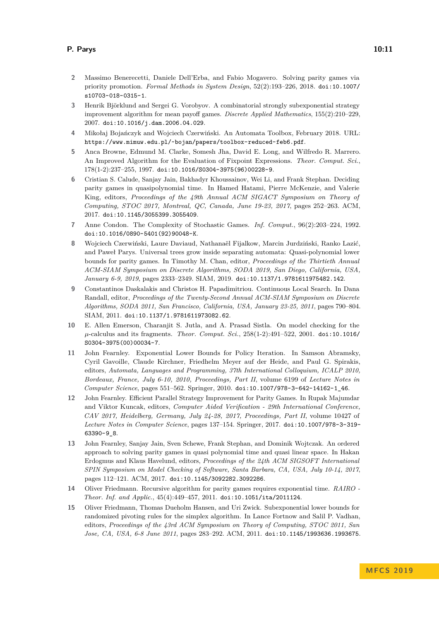- <span id="page-10-7"></span>**2** Massimo Benerecetti, Daniele Dell'Erba, and Fabio Mogavero. Solving parity games via priority promotion. *Formal Methods in System Design*, 52(2):193–226, 2018. [doi:10.1007/](https://doi.org/10.1007/s10703-018-0315-1) [s10703-018-0315-1](https://doi.org/10.1007/s10703-018-0315-1).
- <span id="page-10-8"></span>**3** Henrik Björklund and Sergei G. Vorobyov. A combinatorial strongly subexponential strategy improvement algorithm for mean payoff games. *Discrete Applied Mathematics*, 155(2):210–229, 2007. [doi:10.1016/j.dam.2006.04.029](https://doi.org/10.1016/j.dam.2006.04.029).
- <span id="page-10-11"></span>**4** Mikołaj Bojańczyk and Wojciech Czerwiński. An Automata Toolbox, February 2018. URL: <https://www.mimuw.edu.pl/~bojan/papers/toolbox-reduced-feb6.pdf>.
- <span id="page-10-6"></span>**5** Anca Browne, Edmund M. Clarke, Somesh Jha, David E. Long, and Wilfredo R. Marrero. An Improved Algorithm for the Evaluation of Fixpoint Expressions. *Theor. Comput. Sci.*, 178(1-2):237–255, 1997. [doi:10.1016/S0304-3975\(96\)00228-9](https://doi.org/10.1016/S0304-3975(96)00228-9).
- <span id="page-10-9"></span>**6** Cristian S. Calude, Sanjay Jain, Bakhadyr Khoussainov, Wei Li, and Frank Stephan. Deciding parity games in quasipolynomial time. In Hamed Hatami, Pierre McKenzie, and Valerie King, editors, *Proceedings of the 49th Annual ACM SIGACT Symposium on Theory of Computing, STOC 2017, Montreal, QC, Canada, June 19-23, 2017*, pages 252–263. ACM, 2017. [doi:10.1145/3055399.3055409](https://doi.org/10.1145/3055399.3055409).
- <span id="page-10-4"></span>**7** Anne Condon. The Complexity of Stochastic Games. *Inf. Comput.*, 96(2):203–224, 1992. [doi:10.1016/0890-5401\(92\)90048-K](https://doi.org/10.1016/0890-5401(92)90048-K).
- <span id="page-10-12"></span>**8** Wojciech Czerwiński, Laure Daviaud, Nathanaël Fijalkow, Marcin Jurdziński, Ranko Lazić, and Paweł Parys. Universal trees grow inside separating automata: Quasi-polynomial lower bounds for parity games. In Timothy M. Chan, editor, *Proceedings of the Thirtieth Annual ACM-SIAM Symposium on Discrete Algorithms, SODA 2019, San Diego, California, USA, January 6-9, 2019*, pages 2333–2349. SIAM, 2019. [doi:10.1137/1.9781611975482.142](https://doi.org/10.1137/1.9781611975482.142).
- <span id="page-10-3"></span>**9** Constantinos Daskalakis and Christos H. Papadimitriou. Continuous Local Search. In Dana Randall, editor, *Proceedings of the Twenty-Second Annual ACM-SIAM Symposium on Discrete Algorithms, SODA 2011, San Francisco, California, USA, January 23-25, 2011*, pages 790–804. SIAM, 2011. [doi:10.1137/1.9781611973082.62](https://doi.org/10.1137/1.9781611973082.62).
- <span id="page-10-0"></span>**10** E. Allen Emerson, Charanjit S. Jutla, and A. Prasad Sistla. On model checking for the *µ*-calculus and its fragments. *Theor. Comput. Sci.*, 258(1-2):491–522, 2001. [doi:10.1016/](https://doi.org/10.1016/S0304-3975(00)00034-7) [S0304-3975\(00\)00034-7](https://doi.org/10.1016/S0304-3975(00)00034-7).
- <span id="page-10-1"></span>**11** John Fearnley. Exponential Lower Bounds for Policy Iteration. In Samson Abramsky, Cyril Gavoille, Claude Kirchner, Friedhelm Meyer auf der Heide, and Paul G. Spirakis, editors, *Automata, Languages and Programming, 37th International Colloquium, ICALP 2010, Bordeaux, France, July 6-10, 2010, Proceedings, Part II*, volume 6199 of *Lecture Notes in Computer Science*, pages 551–562. Springer, 2010. [doi:10.1007/978-3-642-14162-1\\_46](https://doi.org/10.1007/978-3-642-14162-1_46).
- <span id="page-10-13"></span>**12** John Fearnley. Efficient Parallel Strategy Improvement for Parity Games. In Rupak Majumdar and Viktor Kuncak, editors, *Computer Aided Verification - 29th International Conference, CAV 2017, Heidelberg, Germany, July 24-28, 2017, Proceedings, Part II*, volume 10427 of *Lecture Notes in Computer Science*, pages 137–154. Springer, 2017. [doi:10.1007/978-3-319-](https://doi.org/10.1007/978-3-319-63390-9_8) [63390-9\\_8](https://doi.org/10.1007/978-3-319-63390-9_8).
- <span id="page-10-10"></span>**13** John Fearnley, Sanjay Jain, Sven Schewe, Frank Stephan, and Dominik Wojtczak. An ordered approach to solving parity games in quasi polynomial time and quasi linear space. In Hakan Erdogmus and Klaus Havelund, editors, *Proceedings of the 24th ACM SIGSOFT International SPIN Symposium on Model Checking of Software, Santa Barbara, CA, USA, July 10-14, 2017*, pages 112–121. ACM, 2017. [doi:10.1145/3092282.3092286](https://doi.org/10.1145/3092282.3092286).
- <span id="page-10-5"></span>**14** Oliver Friedmann. Recursive algorithm for parity games requires exponential time. *RAIRO - Theor. Inf. and Applic.*, 45(4):449–457, 2011. [doi:10.1051/ita/2011124](https://doi.org/10.1051/ita/2011124).
- <span id="page-10-2"></span>**15** Oliver Friedmann, Thomas Dueholm Hansen, and Uri Zwick. Subexponential lower bounds for randomized pivoting rules for the simplex algorithm. In Lance Fortnow and Salil P. Vadhan, editors, *Proceedings of the 43rd ACM Symposium on Theory of Computing, STOC 2011, San Jose, CA, USA, 6-8 June 2011*, pages 283–292. ACM, 2011. [doi:10.1145/1993636.1993675](https://doi.org/10.1145/1993636.1993675).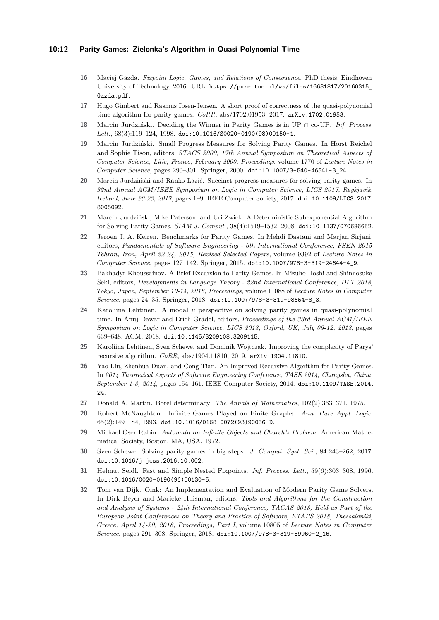### **10:12 Parity Games: Zielonka's Algorithm in Quasi-Polynomial Time**

- <span id="page-11-3"></span>**16** Maciej Gazda. *Fixpoint Logic, Games, and Relations of Consequence*. PhD thesis, Eindhoven University of Technology, 2016. URL: [https://pure.tue.nl/ws/files/16681817/20160315\\_](https://pure.tue.nl/ws/files/16681817/20160315_Gazda.pdf) [Gazda.pdf](https://pure.tue.nl/ws/files/16681817/20160315_Gazda.pdf).
- <span id="page-11-8"></span>**17** Hugo Gimbert and Rasmus Ibsen-Jensen. A short proof of correctness of the quasi-polynomial time algorithm for parity games. *CoRR*, abs/1702.01953, 2017. [arXiv:1702.01953](http://arxiv.org/abs/1702.01953).
- <span id="page-11-1"></span>**18** Marcin Jurdziński. Deciding the Winner in Parity Games is in UP ∩ co-UP. *Inf. Process. Lett.*, 68(3):119–124, 1998. [doi:10.1016/S0020-0190\(98\)00150-1](https://doi.org/10.1016/S0020-0190(98)00150-1).
- <span id="page-11-5"></span>**19** Marcin Jurdziński. Small Progress Measures for Solving Parity Games. In Horst Reichel and Sophie Tison, editors, *STACS 2000, 17th Annual Symposium on Theoretical Aspects of Computer Science, Lille, France, February 2000, Proceedings*, volume 1770 of *Lecture Notes in Computer Science*, pages 290–301. Springer, 2000. [doi:10.1007/3-540-46541-3\\_24](https://doi.org/10.1007/3-540-46541-3_24).
- <span id="page-11-10"></span>**20** Marcin Jurdziński and Ranko Lazić. Succinct progress measures for solving parity games. In *32nd Annual ACM/IEEE Symposium on Logic in Computer Science, LICS 2017, Reykjavik, Iceland, June 20-23, 2017*, pages 1–9. IEEE Computer Society, 2017. [doi:10.1109/LICS.2017.](https://doi.org/10.1109/LICS.2017.8005092) [8005092](https://doi.org/10.1109/LICS.2017.8005092).
- <span id="page-11-7"></span>**21** Marcin Jurdziński, Mike Paterson, and Uri Zwick. A Deterministic Subexponential Algorithm for Solving Parity Games. *SIAM J. Comput.*, 38(4):1519–1532, 2008. [doi:10.1137/070686652](https://doi.org/10.1137/070686652).
- <span id="page-11-14"></span>**22** Jeroen J. A. Keiren. Benchmarks for Parity Games. In Mehdi Dastani and Marjan Sirjani, editors, *Fundamentals of Software Engineering - 6th International Conference, FSEN 2015 Tehran, Iran, April 22-24, 2015, Revised Selected Papers*, volume 9392 of *Lecture Notes in Computer Science*, pages 127–142. Springer, 2015. [doi:10.1007/978-3-319-24644-4\\_9](https://doi.org/10.1007/978-3-319-24644-4_9).
- <span id="page-11-9"></span>**23** Bakhadyr Khoussainov. A Brief Excursion to Parity Games. In Mizuho Hoshi and Shinnosuke Seki, editors, *Developments in Language Theory - 22nd International Conference, DLT 2018, Tokyo, Japan, September 10-14, 2018, Proceedings*, volume 11088 of *Lecture Notes in Computer Science*, pages 24–35. Springer, 2018. [doi:10.1007/978-3-319-98654-8\\_3](https://doi.org/10.1007/978-3-319-98654-8_3).
- <span id="page-11-11"></span>24 Karoliina Lehtinen. A modal  $\mu$  perspective on solving parity games in quasi-polynomial time. In Anuj Dawar and Erich Grädel, editors, *Proceedings of the 33rd Annual ACM/IEEE Symposium on Logic in Computer Science, LICS 2018, Oxford, UK, July 09-12, 2018*, pages 639–648. ACM, 2018. [doi:10.1145/3209108.3209115](https://doi.org/10.1145/3209108.3209115).
- <span id="page-11-12"></span>**25** Karoliina Lehtinen, Sven Schewe, and Dominik Wojtczak. Improving the complexity of Parys' recursive algorithm. *CoRR*, abs/1904.11810, 2019. [arXiv:1904.11810](http://arxiv.org/abs/1904.11810).
- <span id="page-11-16"></span>**26** Yao Liu, Zhenhua Duan, and Cong Tian. An Improved Recursive Algorithm for Parity Games. In *2014 Theoretical Aspects of Software Engineering Conference, TASE 2014, Changsha, China, September 1-3, 2014*, pages 154–161. IEEE Computer Society, 2014. [doi:10.1109/TASE.2014.](https://doi.org/10.1109/TASE.2014.24) [24](https://doi.org/10.1109/TASE.2014.24)
- <span id="page-11-15"></span>**27** Donald A. Martin. Borel determinacy. *The Annals of Mathematics*, 102(2):363–371, 1975.
- <span id="page-11-2"></span>**28** Robert McNaughton. Infinite Games Played on Finite Graphs. *Ann. Pure Appl. Logic*, 65(2):149–184, 1993. [doi:10.1016/0168-0072\(93\)90036-D](https://doi.org/10.1016/0168-0072(93)90036-D).
- <span id="page-11-0"></span>**29** Michael Oser Rabin. *Automata on Infinite Objects and Church's Problem*. American Mathematical Society, Boston, MA, USA, 1972.
- <span id="page-11-6"></span>**30** Sven Schewe. Solving parity games in big steps. *J. Comput. Syst. Sci.*, 84:243–262, 2017. [doi:10.1016/j.jcss.2016.10.002](https://doi.org/10.1016/j.jcss.2016.10.002).
- <span id="page-11-4"></span>**31** Helmut Seidl. Fast and Simple Nested Fixpoints. *Inf. Process. Lett.*, 59(6):303–308, 1996. [doi:10.1016/0020-0190\(96\)00130-5](https://doi.org/10.1016/0020-0190(96)00130-5).
- <span id="page-11-13"></span>**32** Tom van Dijk. Oink: An Implementation and Evaluation of Modern Parity Game Solvers. In Dirk Beyer and Marieke Huisman, editors, *Tools and Algorithms for the Construction and Analysis of Systems - 24th International Conference, TACAS 2018, Held as Part of the European Joint Conferences on Theory and Practice of Software, ETAPS 2018, Thessaloniki, Greece, April 14-20, 2018, Proceedings, Part I*, volume 10805 of *Lecture Notes in Computer Science*, pages 291–308. Springer, 2018. [doi:10.1007/978-3-319-89960-2\\_16](https://doi.org/10.1007/978-3-319-89960-2_16).